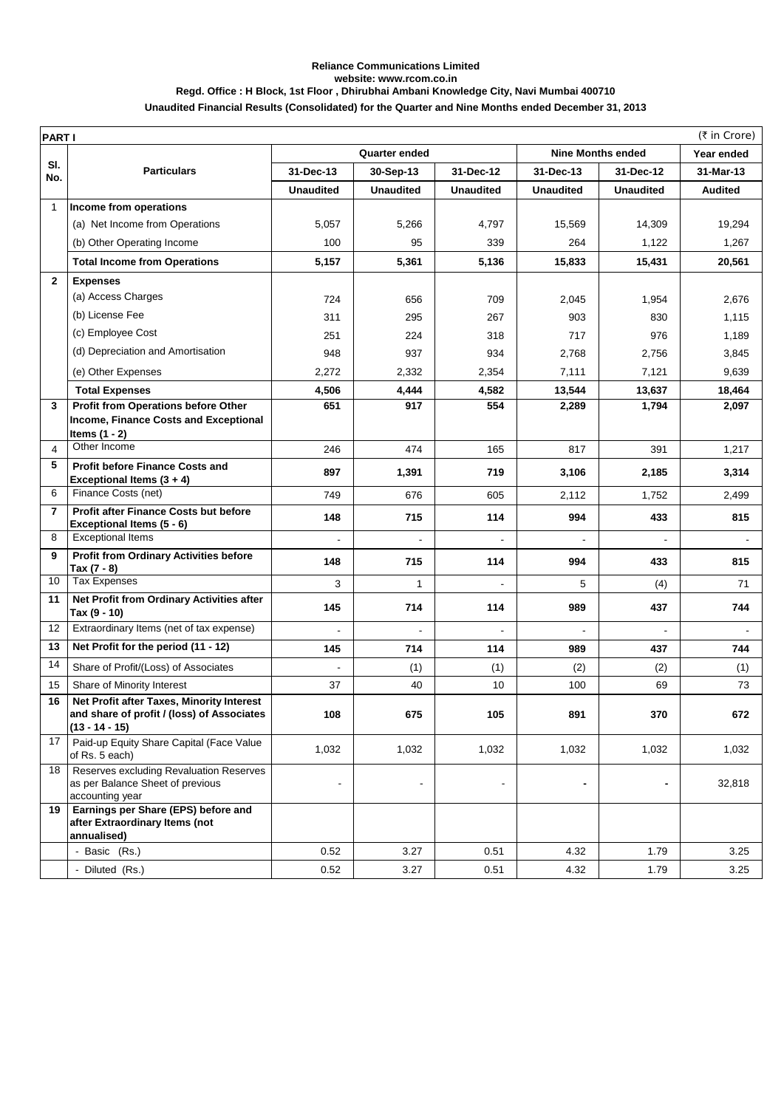## **Reliance Communications Limited website: www.rcom.co.in Regd. Office : H Block, 1st Floor , Dhirubhai Ambani Knowledge City, Navi Mumbai 400710**

|  | Unaudited Financial Results (Consolidated) for the Quarter and Nine Months ended December 31, 2013 |  |
|--|----------------------------------------------------------------------------------------------------|--|
|  |                                                                                                    |  |

| <b>PARTI</b>   |                                                                                                             |                      |                  |                  |                          |                  | (₹ in Crore)   |
|----------------|-------------------------------------------------------------------------------------------------------------|----------------------|------------------|------------------|--------------------------|------------------|----------------|
|                |                                                                                                             | <b>Quarter ended</b> |                  |                  | <b>Nine Months ended</b> | Year ended       |                |
| SI.<br>No.     | <b>Particulars</b>                                                                                          | 31-Dec-13            | 30-Sep-13        | 31-Dec-12        | 31-Dec-13                | 31-Dec-12        | 31-Mar-13      |
|                |                                                                                                             | <b>Unaudited</b>     | <b>Unaudited</b> | <b>Unaudited</b> | <b>Unaudited</b>         | <b>Unaudited</b> | <b>Audited</b> |
| $\mathbf{1}$   | Income from operations                                                                                      |                      |                  |                  |                          |                  |                |
|                | (a) Net Income from Operations                                                                              | 5,057                | 5,266            | 4,797            | 15,569                   | 14,309           | 19,294         |
|                | (b) Other Operating Income                                                                                  | 100                  | 95               | 339              | 264                      | 1,122            | 1,267          |
|                | <b>Total Income from Operations</b>                                                                         | 5,157                | 5,361            | 5,136            | 15,833                   | 15,431           | 20,561         |
| $\overline{2}$ | <b>Expenses</b>                                                                                             |                      |                  |                  |                          |                  |                |
|                | (a) Access Charges                                                                                          | 724                  | 656              | 709              | 2,045                    | 1,954            | 2,676          |
|                | (b) License Fee                                                                                             | 311                  | 295              | 267              | 903                      | 830              | 1,115          |
|                | (c) Employee Cost                                                                                           | 251                  | 224              | 318              | 717                      | 976              | 1,189          |
|                | (d) Depreciation and Amortisation                                                                           | 948                  | 937              | 934              | 2,768                    | 2,756            | 3,845          |
|                | (e) Other Expenses                                                                                          | 2,272                | 2,332            | 2,354            | 7,111                    | 7,121            | 9,639          |
|                | <b>Total Expenses</b>                                                                                       | 4,506                | 4,444            | 4,582            | 13,544                   | 13,637           | 18,464         |
| 3              | Profit from Operations before Other                                                                         | 651                  | 917              | 554              | 2,289                    | 1,794            | 2,097          |
|                | Income, Finance Costs and Exceptional                                                                       |                      |                  |                  |                          |                  |                |
| 4              | Items $(1 - 2)$<br>Other Income                                                                             | 246                  | 474              | 165              | 817                      | 391              | 1,217          |
| 5              | <b>Profit before Finance Costs and</b>                                                                      |                      |                  |                  |                          |                  |                |
|                | Exceptional Items (3 + 4)                                                                                   | 897                  | 1,391            | 719              | 3,106                    | 2,185            | 3,314          |
| 6              | Finance Costs (net)                                                                                         | 749                  | 676              | 605              | 2,112                    | 1,752            | 2,499          |
| $\overline{7}$ | <b>Profit after Finance Costs but before</b>                                                                | 148                  | 715              | 114              | 994                      | 433              | 815            |
| 8              | Exceptional Items (5 - 6)<br><b>Exceptional Items</b>                                                       | $\overline{a}$       |                  |                  |                          |                  |                |
| 9              | <b>Profit from Ordinary Activities before</b>                                                               |                      |                  |                  |                          |                  |                |
|                | Tax (7 - 8)                                                                                                 | 148                  | 715              | 114              | 994                      | 433              | 815            |
| 10             | <b>Tax Expenses</b>                                                                                         | 3                    | 1                |                  | 5                        | (4)              | 71             |
| 11             | Net Profit from Ordinary Activities after<br>Tax (9 - 10)                                                   | 145                  | 714              | 114              | 989                      | 437              | 744            |
| 12             | Extraordinary Items (net of tax expense)                                                                    |                      |                  |                  |                          |                  |                |
| 13             | Net Profit for the period (11 - 12)                                                                         | 145                  | 714              | 114              | 989                      | 437              | 744            |
| 14             | Share of Profit/(Loss) of Associates                                                                        |                      | (1)              | (1)              | (2)                      | (2)              | (1)            |
| 15             | Share of Minority Interest                                                                                  | 37                   | 40               | 10               | 100                      | 69               | 73             |
| 16             | Net Profit after Taxes, Minority Interest<br>and share of profit / (loss) of Associates<br>$(13 - 14 - 15)$ | 108                  | 675              | 105              | 891                      | 370              | 672            |
| 17             | Paid-up Equity Share Capital (Face Value<br>of Rs. 5 each)                                                  | 1,032                | 1,032            | 1,032            | 1,032                    | 1,032            | 1,032          |
| 18             | Reserves excluding Revaluation Reserves<br>as per Balance Sheet of previous<br>accounting year              | $\overline{a}$       |                  | $\blacksquare$   | -                        |                  | 32,818         |
| 19             | Earnings per Share (EPS) before and<br>after Extraordinary Items (not<br>annualised)                        |                      |                  |                  |                          |                  |                |
|                | Basic (Rs.)                                                                                                 | 0.52                 | 3.27             | 0.51             | 4.32                     | 1.79             | 3.25           |
|                | - Diluted (Rs.)                                                                                             | 0.52                 | 3.27             | 0.51             | 4.32                     | 1.79             | 3.25           |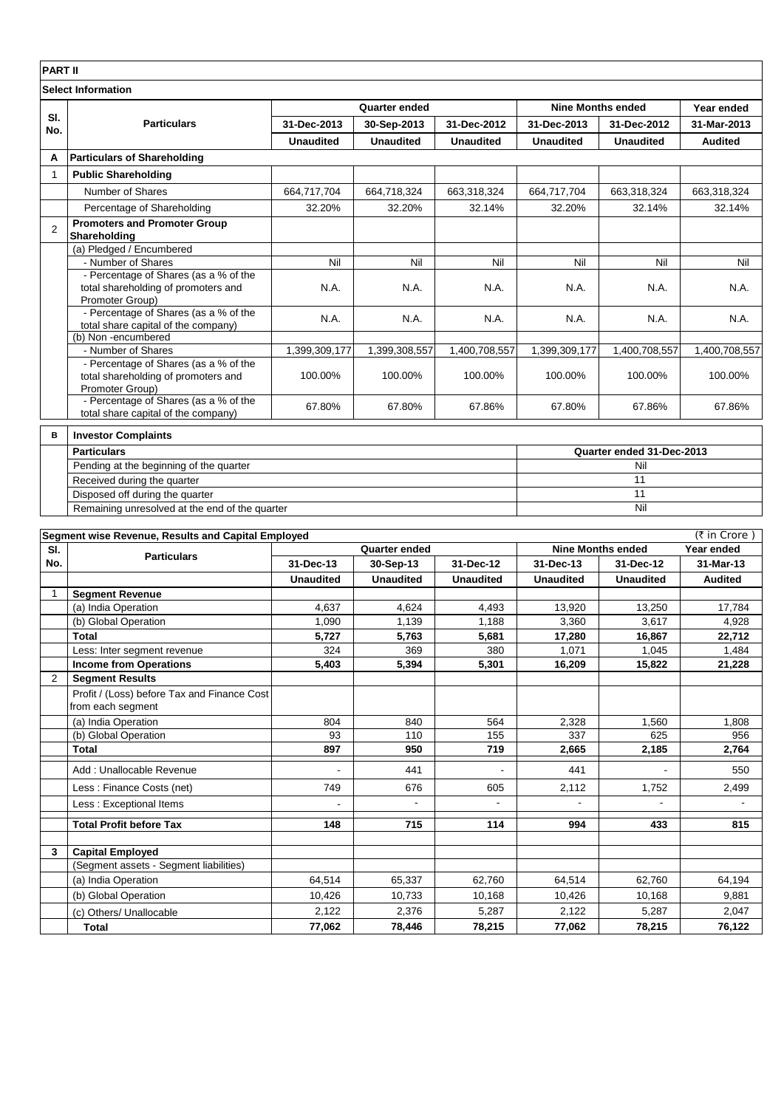| <b>PART II</b>            |                                                                                                 |                  |                  |                  |                          |                           |                |  |
|---------------------------|-------------------------------------------------------------------------------------------------|------------------|------------------|------------------|--------------------------|---------------------------|----------------|--|
| <b>Select Information</b> |                                                                                                 |                  |                  |                  |                          |                           |                |  |
|                           | <b>Particulars</b>                                                                              | Quarter ended    |                  |                  | <b>Nine Months ended</b> |                           | Year ended     |  |
| SI.<br>No.                |                                                                                                 | 31-Dec-2013      | 30-Sep-2013      | 31-Dec-2012      | 31-Dec-2013              | 31-Dec-2012               | 31-Mar-2013    |  |
|                           |                                                                                                 | <b>Unaudited</b> | <b>Unaudited</b> | <b>Unaudited</b> | <b>Unaudited</b>         | <b>Unaudited</b>          | <b>Audited</b> |  |
| A                         | <b>Particulars of Shareholding</b>                                                              |                  |                  |                  |                          |                           |                |  |
| $\mathbf 1$               | <b>Public Shareholding</b>                                                                      |                  |                  |                  |                          |                           |                |  |
|                           | Number of Shares                                                                                | 664,717,704      | 664,718,324      | 663,318,324      | 664,717,704              | 663,318,324               | 663,318,324    |  |
|                           | Percentage of Shareholding                                                                      | 32.20%           | 32.20%           | 32.14%           | 32.20%                   | 32.14%                    | 32.14%         |  |
| 2                         | <b>Promoters and Promoter Group</b><br>Shareholding                                             |                  |                  |                  |                          |                           |                |  |
|                           | (a) Pledged / Encumbered                                                                        |                  |                  |                  |                          |                           |                |  |
|                           | - Number of Shares                                                                              | Nil              | Nil              | Nil              | Nil                      | Nil                       | Nil            |  |
|                           | - Percentage of Shares (as a % of the<br>total shareholding of promoters and<br>Promoter Group) | N.A.             | N.A.             | N.A.             | N.A.                     | N.A.                      | N.A.           |  |
|                           | - Percentage of Shares (as a % of the<br>total share capital of the company)                    | N.A.             | N.A.             | N.A.             | N.A.                     | N.A.                      | N.A.           |  |
|                           | (b) Non-encumbered                                                                              |                  |                  |                  |                          |                           |                |  |
|                           | - Number of Shares                                                                              | 1,399,309,177    | 1,399,308,557    | 1,400,708,557    | 1,399,309,177            | 1,400,708,557             | 1,400,708,557  |  |
|                           | - Percentage of Shares (as a % of the<br>total shareholding of promoters and<br>Promoter Group) | 100.00%          | 100.00%          | 100.00%          | 100.00%                  | 100.00%                   | 100.00%        |  |
|                           | - Percentage of Shares (as a % of the<br>total share capital of the company)                    | 67.80%           | 67.80%           | 67.86%           | 67.80%                   | 67.86%                    | 67.86%         |  |
| в                         | <b>Investor Complaints</b>                                                                      |                  |                  |                  |                          |                           |                |  |
|                           | <b>Particulars</b>                                                                              |                  |                  |                  |                          | Quarter ended 31-Dec-2013 |                |  |
|                           | Pending at the beginning of the quarter                                                         |                  |                  |                  |                          | Nil                       |                |  |
|                           | Received during the quarter                                                                     |                  |                  |                  |                          | 11                        |                |  |
|                           | Disposed off during the quarter                                                                 |                  |                  |                  |                          | 11                        |                |  |

Remaining unresolved at the end of the quarter **Segment wise Revenue, Results and Capital Employed**

| (₹ in Crore)<br>Segment wise Revenue, Results and Capital Employed |                                             |                  |                      |                          |                          |                  |                |
|--------------------------------------------------------------------|---------------------------------------------|------------------|----------------------|--------------------------|--------------------------|------------------|----------------|
| SI.                                                                | <b>Particulars</b>                          |                  | <b>Quarter ended</b> |                          | <b>Nine Months ended</b> |                  | Year ended     |
| No.                                                                |                                             | 31-Dec-13        | 30-Sep-13            | 31-Dec-12                | 31-Dec-13                | 31-Dec-12        | 31-Mar-13      |
|                                                                    |                                             | <b>Unaudited</b> | <b>Unaudited</b>     | <b>Unaudited</b>         | <b>Unaudited</b>         | <b>Unaudited</b> | <b>Audited</b> |
|                                                                    | <b>Segment Revenue</b>                      |                  |                      |                          |                          |                  |                |
|                                                                    | (a) India Operation                         | 4.637            | 4.624                | 4,493                    | 13.920                   | 13,250           | 17,784         |
|                                                                    | (b) Global Operation                        | 1.090            | 1,139                | 1,188                    | 3,360                    | 3.617            | 4,928          |
|                                                                    | <b>Total</b>                                | 5,727            | 5,763                | 5,681                    | 17,280                   | 16,867           | 22,712         |
|                                                                    | Less: Inter segment revenue                 | 324              | 369                  | 380                      | 1,071                    | 1.045            | 1,484          |
|                                                                    | <b>Income from Operations</b>               | 5,403            | 5,394                | 5,301                    | 16,209                   | 15,822           | 21,228         |
| $\overline{2}$                                                     | <b>Segment Results</b>                      |                  |                      |                          |                          |                  |                |
|                                                                    | Profit / (Loss) before Tax and Finance Cost |                  |                      |                          |                          |                  |                |
|                                                                    | from each segment                           |                  |                      |                          |                          |                  |                |
|                                                                    | (a) India Operation                         | 804              | 840                  | 564                      | 2,328                    | 1.560            | 1.808          |
|                                                                    | (b) Global Operation                        | 93               | 110                  | 155                      | 337                      | 625              | 956            |
|                                                                    | <b>Total</b>                                | 897              | 950                  | 719                      | 2,665                    | 2,185            | 2,764          |
|                                                                    | Add: Unallocable Revenue                    |                  | 441                  |                          | 441                      |                  | 550            |
|                                                                    | Less: Finance Costs (net)                   | 749              | 676                  | 605                      | 2,112                    | 1,752            | 2,499          |
|                                                                    | Less : Exceptional Items                    |                  |                      | $\overline{\phantom{a}}$ |                          | -                |                |
|                                                                    | <b>Total Profit before Tax</b>              | 148              | 715                  | 114                      | 994                      | 433              | 815            |
| 3                                                                  | <b>Capital Employed</b>                     |                  |                      |                          |                          |                  |                |
|                                                                    | (Segment assets - Segment liabilities)      |                  |                      |                          |                          |                  |                |
|                                                                    | (a) India Operation                         | 64.514           | 65,337               | 62,760                   | 64.514                   | 62,760           | 64,194         |
|                                                                    | (b) Global Operation                        | 10,426           | 10,733               | 10,168                   | 10,426                   | 10,168           | 9,881          |
|                                                                    | (c) Others/ Unallocable                     | 2,122            | 2,376                | 5,287                    | 2,122                    | 5,287            | 2,047          |
|                                                                    | Total                                       | 77,062           | 78.446               | 78,215                   | 77,062                   | 78,215           | 76,122         |

Nil